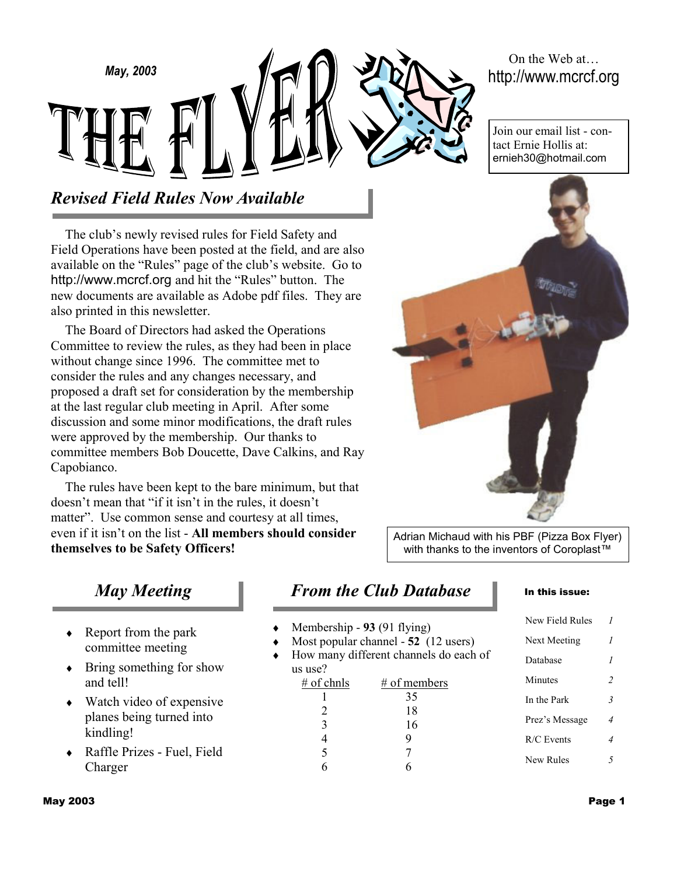On the Web at… http://www.mcrcf.org

Join our email list - contact Ernie Hollis at: ernieh30@hotmail.com

# *Revised Field Rules Now Available*

*May, 2003* 

The club's newly revised rules for Field Safety and Field Operations have been posted at the field, and are also available on the "Rules" page of the club's website. Go to http://www.mcrcf.org and hit the "Rules" button. The new documents are available as Adobe pdf files. They are also printed in this newsletter.

The Board of Directors had asked the Operations Committee to review the rules, as they had been in place without change since 1996. The committee met to consider the rules and any changes necessary, and proposed a draft set for consideration by the membership at the last regular club meeting in April. After some discussion and some minor modifications, the draft rules were approved by the membership. Our thanks to committee members Bob Doucette, Dave Calkins, and Ray Capobianco.

The rules have been kept to the bare minimum, but that doesn't mean that "if it isn't in the rules, it doesn't matter". Use common sense and courtesy at all times, even if it isn't on the list - **All members should consider themselves to be Safety Officers!**



Adrian Michaud with his PBF (Pizza Box Flyer) with thanks to the inventors of Coroplast™

## *May Meeting*

- $\triangleleft$  Report from the park committee meeting
- ♦ Bring something for show and tell!
- $\leftrightarrow$  Watch video of expensive planes being turned into kindling!
- ♦ Raffle Prizes Fuel, Field Charger

## *From the Club Database*

- Membership 93 (91 flying)
- Most popular channel 52 (12 users)
- How many different channels do each of us use?

| $#$ of chnls                | # of members |
|-----------------------------|--------------|
|                             | 35           |
| $\mathcal{D}_{\mathcal{L}}$ | 18           |
| 3                           | 16           |
|                             |              |
| 5                           |              |
|                             |              |

#### In this issue:

| New Field Rules | 1                        |
|-----------------|--------------------------|
| Next Meeting    | 1                        |
| Database        | 1                        |
| Minutes         | $\overline{\mathcal{L}}$ |
| In the Park     | $\overline{\mathbf{3}}$  |
| Prez's Message  | 4                        |
| $R/C$ Events    | 4                        |
| New Rules       | 5                        |
|                 |                          |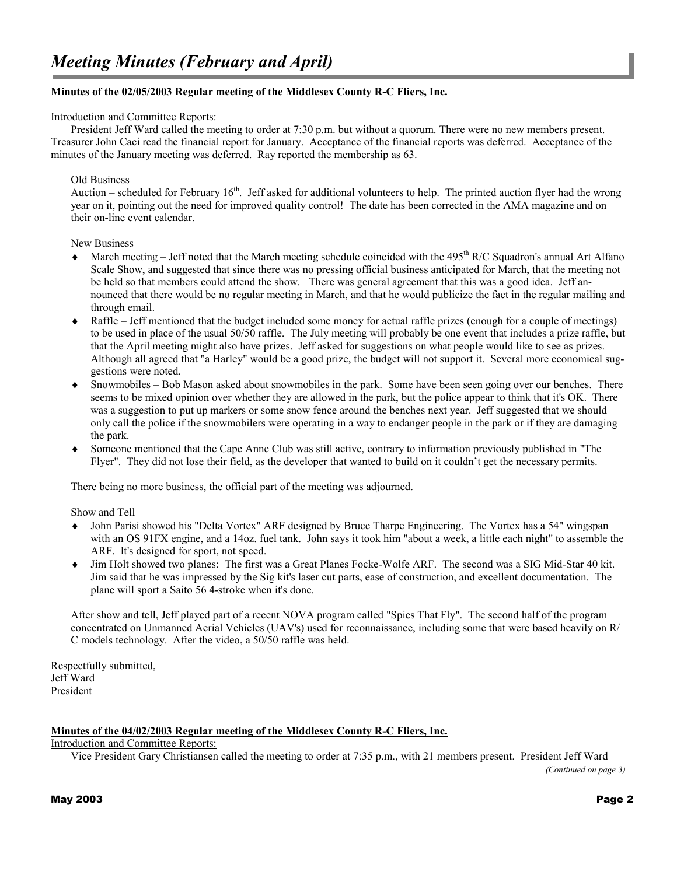#### **Minutes of the 02/05/2003 Regular meeting of the Middlesex County R-C Fliers, Inc.**

#### Introduction and Committee Reports:

President Jeff Ward called the meeting to order at 7:30 p.m. but without a quorum. There were no new members present. Treasurer John Caci read the financial report for January. Acceptance of the financial reports was deferred. Acceptance of the minutes of the January meeting was deferred. Ray reported the membership as 63.

#### Old Business

Auction – scheduled for February  $16<sup>th</sup>$ . Jeff asked for additional volunteers to help. The printed auction flyer had the wrong year on it, pointing out the need for improved quality control! The date has been corrected in the AMA magazine and on their on-line event calendar.

#### New Business

- $\blacklozenge$  March meeting Jeff noted that the March meeting schedule coincided with the 495<sup>th</sup> R/C Squadron's annual Art Alfano Scale Show, and suggested that since there was no pressing official business anticipated for March, that the meeting not be held so that members could attend the show. There was general agreement that this was a good idea. Jeff announced that there would be no regular meeting in March, and that he would publicize the fact in the regular mailing and through email.
- ♦ Raffle Jeff mentioned that the budget included some money for actual raffle prizes (enough for a couple of meetings) to be used in place of the usual 50/50 raffle. The July meeting will probably be one event that includes a prize raffle, but that the April meeting might also have prizes. Jeff asked for suggestions on what people would like to see as prizes. Although all agreed that "a Harley" would be a good prize, the budget will not support it. Several more economical suggestions were noted.
- Snowmobiles Bob Mason asked about snowmobiles in the park. Some have been seen going over our benches. There seems to be mixed opinion over whether they are allowed in the park, but the police appear to think that it's OK. There was a suggestion to put up markers or some snow fence around the benches next year. Jeff suggested that we should only call the police if the snowmobilers were operating in a way to endanger people in the park or if they are damaging the park.
- Someone mentioned that the Cape Anne Club was still active, contrary to information previously published in "The Flyer". They did not lose their field, as the developer that wanted to build on it couldn't get the necessary permits.

There being no more business, the official part of the meeting was adjourned.

#### Show and Tell

- ♦ John Parisi showed his "Delta Vortex" ARF designed by Bruce Tharpe Engineering. The Vortex has a 54" wingspan with an OS 91FX engine, and a 14oz. fuel tank. John says it took him "about a week, a little each night" to assemble the ARF. It's designed for sport, not speed.
- ♦ Jim Holt showed two planes: The first was a Great Planes Focke-Wolfe ARF. The second was a SIG Mid-Star 40 kit. Jim said that he was impressed by the Sig kit's laser cut parts, ease of construction, and excellent documentation. The plane will sport a Saito 56 4-stroke when it's done.

After show and tell, Jeff played part of a recent NOVA program called "Spies That Fly". The second half of the program concentrated on Unmanned Aerial Vehicles (UAV's) used for reconnaissance, including some that were based heavily on R/ C models technology.After the video, a 50/50 raffle was held.

Respectfully submitted, Jeff Ward President

#### **Minutes of the 04/02/2003 Regular meeting of the Middlesex County R-C Fliers, Inc.**

#### Introduction and Committee Reports:

Vice President Gary Christiansen called the meeting to order at 7:35 p.m., with 21 members present. President Jeff Ward

*(Continued on page 3)*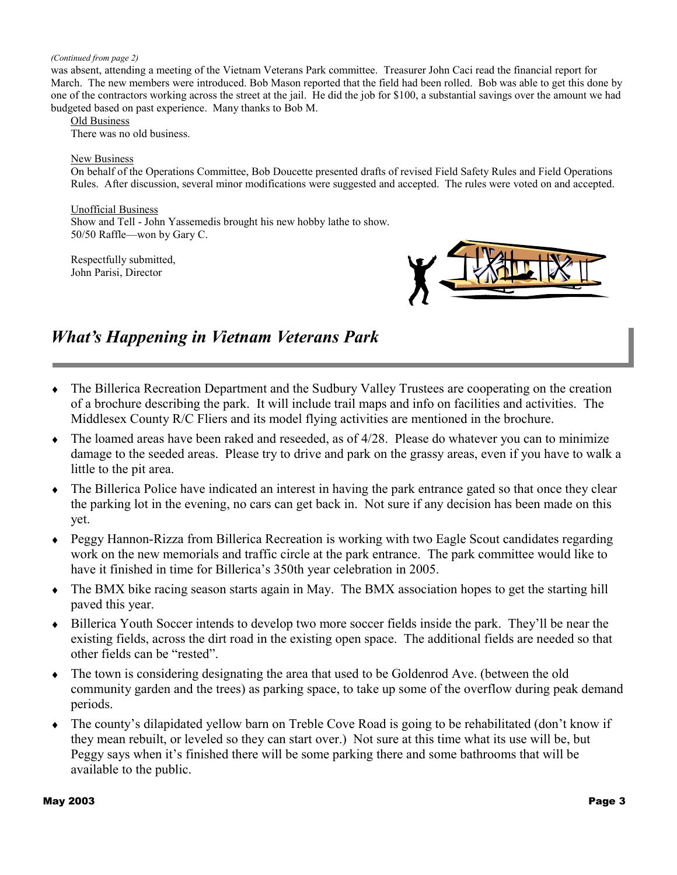#### *(Continued from page 2)*

was absent, attending a meeting of the Vietnam Veterans Park committee. Treasurer John Caci read the financial report for March. The new members were introduced. Bob Mason reported that the field had been rolled. Bob was able to get this done by one of the contractors working across the street at the jail. He did the job for \$100, a substantial savings over the amount we had budgeted based on past experience. Many thanks to Bob M.

Old Business

There was no old business.

#### New Business

On behalf of the Operations Committee, Bob Doucette presented drafts of revised Field Safety Rules and Field Operations Rules. After discussion, several minor modifications were suggested and accepted. The rules were voted on and accepted.

Unofficial Business Show and Tell - John Yassemedis brought his new hobby lathe to show. 50/50 Raffle—won by Gary C.

Respectfully submitted, John Parisi, Director



### *What's Happening in Vietnam Veterans Park*

- ♦ The Billerica Recreation Department and the Sudbury Valley Trustees are cooperating on the creation of a brochure describing the park. It will include trail maps and info on facilities and activities. The Middlesex County R/C Fliers and its model flying activities are mentioned in the brochure.
- $\bullet$  The loamed areas have been raked and reseeded, as of 4/28. Please do whatever you can to minimize damage to the seeded areas. Please try to drive and park on the grassy areas, even if you have to walk a little to the pit area.
- The Billerica Police have indicated an interest in having the park entrance gated so that once they clear the parking lot in the evening, no cars can get back in. Not sure if any decision has been made on this yet.
- Peggy Hannon-Rizza from Billerica Recreation is working with two Eagle Scout candidates regarding work on the new memorials and traffic circle at the park entrance. The park committee would like to have it finished in time for Billerica's 350th year celebration in 2005.
- ♦ The BMX bike racing season starts again in May. The BMX association hopes to get the starting hill paved this year.
- ♦ Billerica Youth Soccer intends to develop two more soccer fields inside the park. They'll be near the existing fields, across the dirt road in the existing open space. The additional fields are needed so that other fields can be "rested".
- ♦ The town is considering designating the area that used to be Goldenrod Ave. (between the old community garden and the trees) as parking space, to take up some of the overflow during peak demand periods.
- The county's dilapidated yellow barn on Treble Cove Road is going to be rehabilitated (don't know if they mean rebuilt, or leveled so they can start over.) Not sure at this time what its use will be, but Peggy says when it's finished there will be some parking there and some bathrooms that will be available to the public.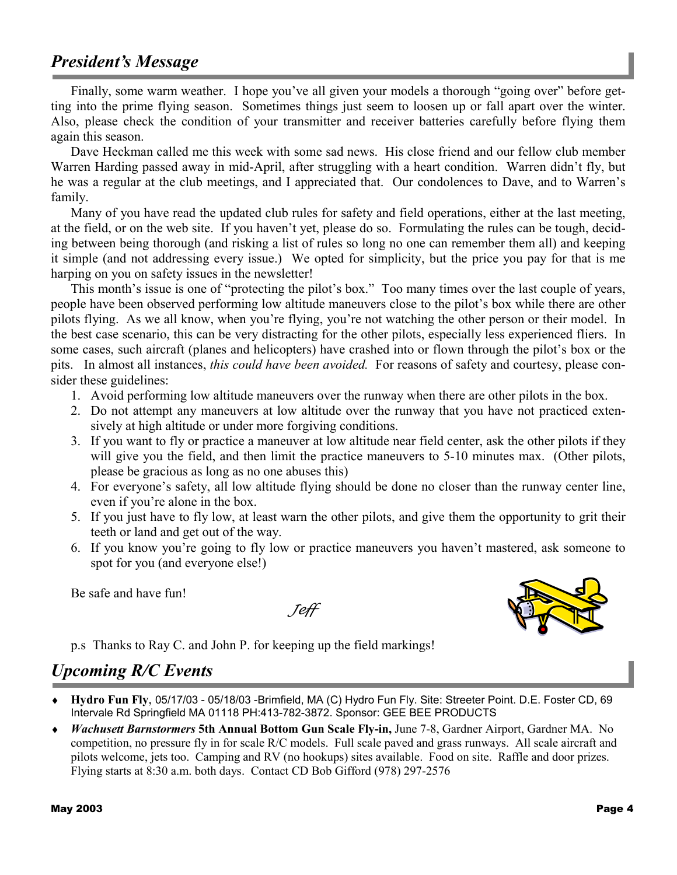## *President's Message*

Finally, some warm weather. I hope you've all given your models a thorough "going over" before getting into the prime flying season. Sometimes things just seem to loosen up or fall apart over the winter. Also, please check the condition of your transmitter and receiver batteries carefully before flying them again this season.

Dave Heckman called me this week with some sad news. His close friend and our fellow club member Warren Harding passed away in mid-April, after struggling with a heart condition. Warren didn't fly, but he was a regular at the club meetings, and I appreciated that. Our condolences to Dave, and to Warren's family.

Many of you have read the updated club rules for safety and field operations, either at the last meeting, at the field, or on the web site. If you haven't yet, please do so. Formulating the rules can be tough, deciding between being thorough (and risking a list of rules so long no one can remember them all) and keeping it simple (and not addressing every issue.) We opted for simplicity, but the price you pay for that is me harping on you on safety issues in the newsletter!

This month's issue is one of "protecting the pilot's box." Too many times over the last couple of years, people have been observed performing low altitude maneuvers close to the pilot's box while there are other pilots flying. As we all know, when you're flying, you're not watching the other person or their model. In the best case scenario, this can be very distracting for the other pilots, especially less experienced fliers. In some cases, such aircraft (planes and helicopters) have crashed into or flown through the pilot's box or the pits. In almost all instances, *this could have been avoided.* For reasons of safety and courtesy, please consider these guidelines:

- 1. Avoid performing low altitude maneuvers over the runway when there are other pilots in the box.
- 2. Do not attempt any maneuvers at low altitude over the runway that you have not practiced extensively at high altitude or under more forgiving conditions.
- 3. If you want to fly or practice a maneuver at low altitude near field center, ask the other pilots if they will give you the field, and then limit the practice maneuvers to 5-10 minutes max. (Other pilots, please be gracious as long as no one abuses this)
- 4. For everyone's safety, all low altitude flying should be done no closer than the runway center line, even if you're alone in the box.
- 5. If you just have to fly low, at least warn the other pilots, and give them the opportunity to grit their teeth or land and get out of the way.
- 6. If you know you're going to fly low or practice maneuvers you haven't mastered, ask someone to spot for you (and everyone else!)

Be safe and have fun!

Jeff



p.s Thanks to Ray C. and John P. for keeping up the field markings!

## *Upcoming R/C Events*

- ♦ **Hydro Fun Fly**, 05/17/03 05/18/03 -Brimfield, MA (C) Hydro Fun Fly. Site: Streeter Point. D.E. Foster CD, 69 Intervale Rd Springfield MA 01118 PH:413-782-3872. Sponsor: GEE BEE PRODUCTS
- ♦ *Wachusett Barnstormers* **5th Annual Bottom Gun Scale Fly-in,** June 7-8, Gardner Airport, Gardner MA. No competition, no pressure fly in for scale R/C models. Full scale paved and grass runways. All scale aircraft and pilots welcome, jets too. Camping and RV (no hookups) sites available. Food on site. Raffle and door prizes. Flying starts at 8:30 a.m. both days. Contact CD Bob Gifford (978) 297-2576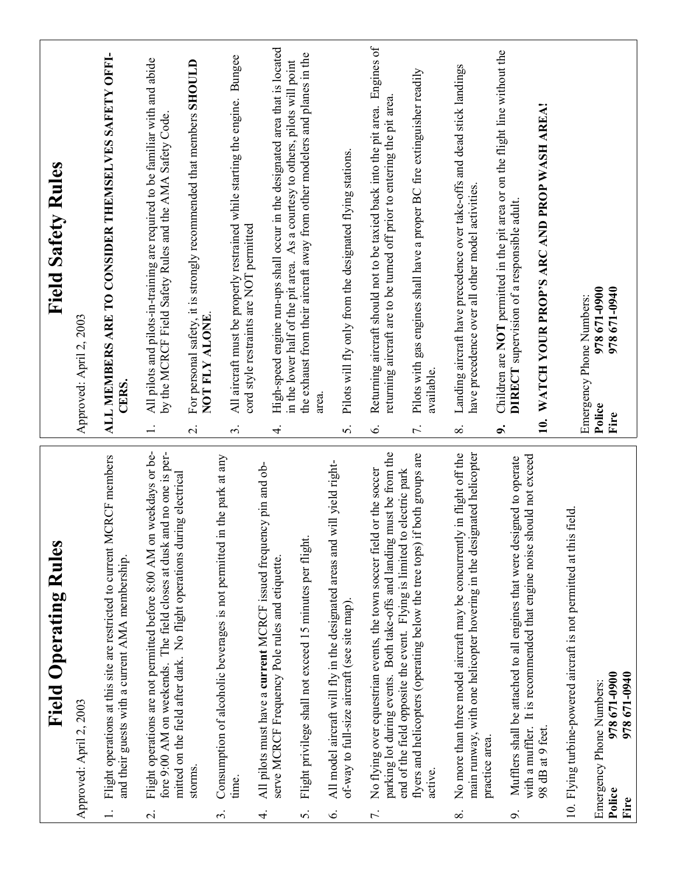| <b>Field Operating Rules</b>                                                                                                                                                                                                                        | <b>Field Safety Rules</b>                                                                                                                                                       |
|-----------------------------------------------------------------------------------------------------------------------------------------------------------------------------------------------------------------------------------------------------|---------------------------------------------------------------------------------------------------------------------------------------------------------------------------------|
| Approved: April 2, 2003                                                                                                                                                                                                                             | Approved: April 2, 2003                                                                                                                                                         |
| <b>CRCF</b> members<br>Flight operations at this site are restricted to current M<br>and their guests with a current AMA membership.                                                                                                                | ALL MEMBERS ARE TO CONSIDER THEMSELVES SAFETY OFFI-<br>CERS.                                                                                                                    |
| Flight operations are not permitted before 8:00 AM on weekdays or be-<br>fore 9:00 AM on weekends. The field closes at dusk and no one is per-<br>mitted on the field after dark. No flight operations during electrical<br>$\overline{\mathsf{N}}$ | All pilots and pilots-in-training are required to be familiar with and abide<br>by the MCRCF Field Safety Rules and the AMA Safety Code.                                        |
| storms                                                                                                                                                                                                                                              | For personal safety, it is strongly recommended that members SHOULD<br>NOT FLY ALONE.<br>$\overline{\mathcal{N}}$                                                               |
| Consumption of alcoholic beverages is not permitted in the park at any<br>time.<br>3                                                                                                                                                                | All aircraft must be properly restrained while starting the engine. Bungee<br>cord style restraints are NOT permitted<br>$\dot{\mathfrak{c}}$                                   |
| All pilots must have a current MCRCF issued frequency pin and ob-<br>serve MCRCF Frequency Pole rules and etiquette.<br>4.                                                                                                                          | High-speed engine run-ups shall occur in the designated area that is located<br>in the lower half of the pit area. As a courtesy to others, pilots will point<br>$\overline{4}$ |
| Flight privilege shall not exceed 15 minutes per flight.<br>5.                                                                                                                                                                                      | the exhaust from their aircraft away from other modelers and planes in the<br>area.                                                                                             |
| will yield right-<br>All model aircraft will fly in the designated areas and<br>of-way to full-size aircraft (see site map).<br>Ġ.                                                                                                                  | Pilots will fly only from the designated flying stations.<br>S.                                                                                                                 |
| must be from the<br>No flying over equestrian events, the town soccer field or the soccer<br>parking lot during events. Both take-offs and landing<br>$\overline{r}$ .                                                                              | Returning aircraft should not to be taxied back into the pit area. Engines of<br>returning aircraft are to be turned off prior to entering the pit area.<br>$\acute{\circ}$     |
| flyers and helicopters (operating below the tree tops) if both groups are<br>end of the field opposite the event. Flying is limited to electric park<br>active.                                                                                     | Pilots with gas engines shall have a proper BC fire extinguisher readily<br>available.<br>$\overline{r}$ .                                                                      |
| main runway, with one helicopter hovering in the designated helicopter<br>No more than three model aircraft may be concurrently in flight off the<br>practice area.<br>$\infty$                                                                     | Landing aircraft have precedence over take-offs and dead stick landings<br>have precedence over all other model activities.<br>$\infty$                                         |
| Mufflers shall be attached to all engines that were designed to operate<br>o,                                                                                                                                                                       | Children are NOT permitted in the pit area or on the flight line without the<br><b>DIRECT</b> supervision of a responsible adult.<br>o.                                         |
| It is recommended that engine noise should not exceed<br>with a muffler.<br>98 dB at 9 feet.                                                                                                                                                        | WATCH YOUR PROP'S ARC AND PROP WASH AREA!<br>$\overline{10}$ .                                                                                                                  |
| field.<br>10. Flying turbine-powered aircraft is not permitted at this                                                                                                                                                                              | Emergency Phone Numbers:                                                                                                                                                        |
| 978 671-0940<br>978671-0900<br>Emergency Phone Numbers:<br>Police<br>Fire                                                                                                                                                                           | 978671-0900<br>97867-0940<br>Police<br>Fire                                                                                                                                     |